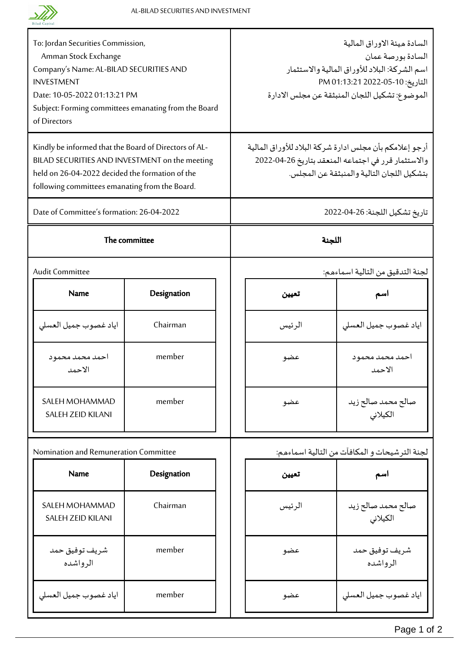

Т

| To: Jordan Securities Commission,<br>Amman Stock Exchange<br>Company's Name: AL-BILAD SECURITIES AND<br><b>INVESTMENT</b><br>Date: 10-05-2022 01:13:21 PM<br>Subject: Forming committees emanating from the Board<br>of Directors |             |  | السادة ميئة الاوراق المالية<br>السادة بورصة عمان<br>اسم الشركة: البلاد للأوراق المالية والاستثمار<br>التاريخ: 10-05-2022 PM 01:13:21<br>الموضوع: تشكيل اللجان المنبثقة عن مجلس الادارة |                                  |  |
|-----------------------------------------------------------------------------------------------------------------------------------------------------------------------------------------------------------------------------------|-------------|--|----------------------------------------------------------------------------------------------------------------------------------------------------------------------------------------|----------------------------------|--|
| Kindly be informed that the Board of Directors of AL-<br>BILAD SECURITIES AND INVESTMENT on the meeting<br>held on 26-04-2022 decided the formation of the<br>following committees emanating from the Board.                      |             |  | أرجو إعلامكم بأن مجلس ادارة شركة البلاد للأوراق المالية<br>والاستثمار قرر في اجتماعه المنعقد بتاريخ 26-04-2022<br>بتشكيل اللجان التالية والمنبثقة عن المجلس.                           |                                  |  |
| Date of Committee's formation: 26-04-2022                                                                                                                                                                                         |             |  | تاريخ تشكيل اللجنة: 26-04-2022                                                                                                                                                         |                                  |  |
| The committee                                                                                                                                                                                                                     |             |  | اللجنة                                                                                                                                                                                 |                                  |  |
| <b>Audit Committee</b>                                                                                                                                                                                                            |             |  |                                                                                                                                                                                        | لجنة التدقيق من التالية اسماءهم: |  |
| <b>Name</b>                                                                                                                                                                                                                       | Designation |  | تعيين                                                                                                                                                                                  | اسم                              |  |
| اياد غصوب جميل العسلي                                                                                                                                                                                                             | Chairman    |  | الر ئيس                                                                                                                                                                                | اياد غصوب جميل العسلى            |  |
| احمد محمد محمود<br>الاحمد                                                                                                                                                                                                         | member      |  | عضو                                                                                                                                                                                    | احمد محمد محمود<br>الاحمد        |  |
| SALEH MOHAMMAD<br><b>SALEH ZEID KILANI</b>                                                                                                                                                                                        | member      |  | عضو                                                                                                                                                                                    | صالح محمد صالح زيد<br>الكيلاني   |  |
| Nomination and Remuneration Committee                                                                                                                                                                                             |             |  | لجنة الترشيحات و المكافآت من التالية اسماءهم:                                                                                                                                          |                                  |  |
| Name                                                                                                                                                                                                                              | Designation |  | تعيين                                                                                                                                                                                  | اسم                              |  |
| SALEH MOHAMMAD<br><b>SALEH ZEID KILANI</b>                                                                                                                                                                                        | Chairman    |  | الرئيس                                                                                                                                                                                 | صالح محمد صالح زيد<br>الكيلانى   |  |
| شريف توفيق حمد<br>الرواشده                                                                                                                                                                                                        | member      |  | عضو                                                                                                                                                                                    | شريف توفيق حمد<br>الرواشده       |  |
| اياد غصوب جميل العسلى                                                                                                                                                                                                             | member      |  | عضو                                                                                                                                                                                    | اياد غصوب جميل العسلى            |  |